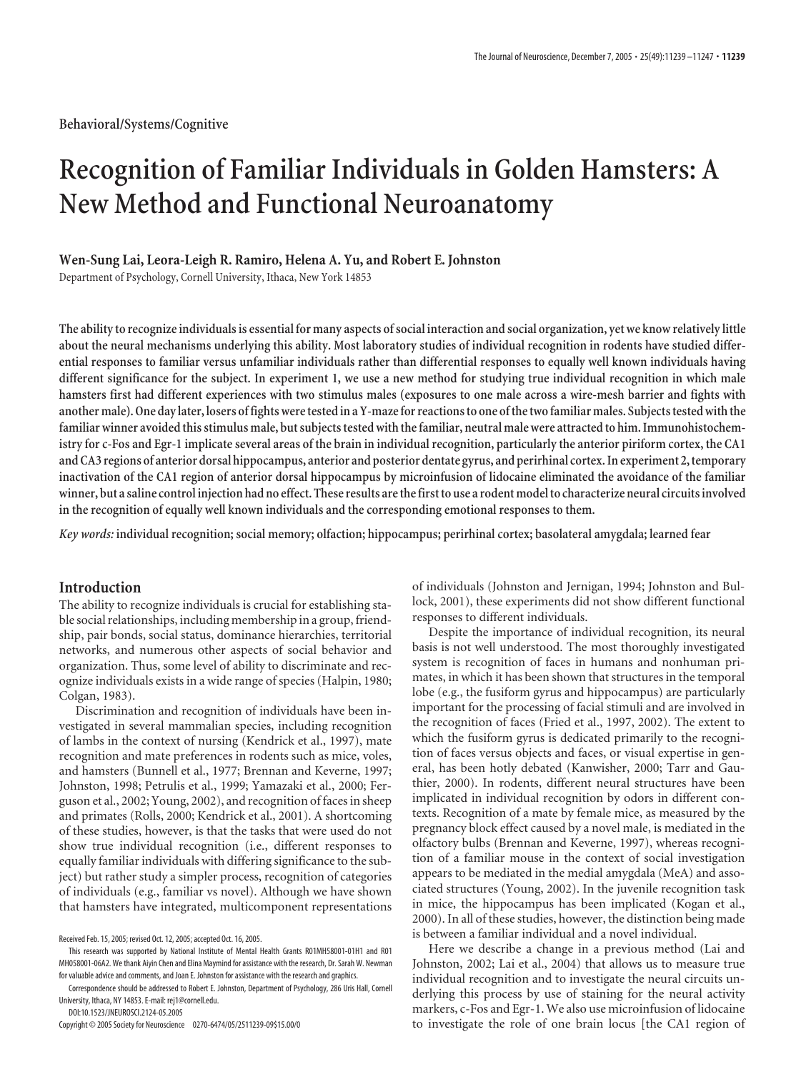# **Recognition of Familiar Individuals in Golden Hamsters: A New Method and Functional Neuroanatomy**

# **Wen-Sung Lai, Leora-Leigh R. Ramiro, Helena A. Yu, and Robert E. Johnston**

Department of Psychology, Cornell University, Ithaca, New York 14853

**The ability to recognize individuals is essential for many aspects of social interaction and social organization, yet we know relatively little about the neural mechanisms underlying this ability. Most laboratory studies of individual recognition in rodents have studied differential responses to familiar versus unfamiliar individuals rather than differential responses to equally well known individuals having different significance for the subject. In experiment 1, we use a new method for studying true individual recognition in which male hamsters first had different experiences with two stimulus males (exposures to one male across a wire-mesh barrier and fights with** another male). One day later, losers of fights were tested in a Y-maze for reactions to one of the two familiar males. Subjects tested with the familiar winner avoided this stimulus male, but subjects tested with the familiar, neutral male were attracted to him. Immunohistochem**istry for c-Fos and Egr-1 implicate several areas of the brain in individual recognition, particularly the anterior piriform cortex, the CA1 and CA3 regions of anterior dorsal hippocampus, anterior and posterior dentate gyrus, and perirhinal cortex. In experiment 2,temporary inactivation of the CA1 region of anterior dorsal hippocampus by microinfusion of lidocaine eliminated the avoidance of the familiar winner, but a saline control injection had no effect. These results arethefirstto use a rodent modelto characterize neural circuits involved in the recognition of equally well known individuals and the corresponding emotional responses to them.**

*Key words:* **individual recognition; social memory; olfaction; hippocampus; perirhinal cortex; basolateral amygdala; learned fear**

# **Introduction**

The ability to recognize individuals is crucial for establishing stable social relationships, including membership in a group, friendship, pair bonds, social status, dominance hierarchies, territorial networks, and numerous other aspects of social behavior and organization. Thus, some level of ability to discriminate and recognize individuals exists in a wide range of species (Halpin, 1980; Colgan, 1983).

Discrimination and recognition of individuals have been investigated in several mammalian species, including recognition of lambs in the context of nursing (Kendrick et al., 1997), mate recognition and mate preferences in rodents such as mice, voles, and hamsters (Bunnell et al., 1977; Brennan and Keverne, 1997; Johnston, 1998; Petrulis et al., 1999; Yamazaki et al., 2000; Ferguson et al., 2002; Young, 2002), and recognition of faces in sheep and primates (Rolls, 2000; Kendrick et al., 2001). A shortcoming of these studies, however, is that the tasks that were used do not show true individual recognition (i.e., different responses to equally familiar individuals with differing significance to the subject) but rather study a simpler process, recognition of categories of individuals (e.g., familiar vs novel). Although we have shown that hamsters have integrated, multicomponent representations

DOI:10.1523/JNEUROSCI.2124-05.2005

of individuals (Johnston and Jernigan, 1994; Johnston and Bullock, 2001), these experiments did not show different functional responses to different individuals.

Despite the importance of individual recognition, its neural basis is not well understood. The most thoroughly investigated system is recognition of faces in humans and nonhuman primates, in which it has been shown that structures in the temporal lobe (e.g., the fusiform gyrus and hippocampus) are particularly important for the processing of facial stimuli and are involved in the recognition of faces (Fried et al., 1997, 2002). The extent to which the fusiform gyrus is dedicated primarily to the recognition of faces versus objects and faces, or visual expertise in general, has been hotly debated (Kanwisher, 2000; Tarr and Gauthier, 2000). In rodents, different neural structures have been implicated in individual recognition by odors in different contexts. Recognition of a mate by female mice, as measured by the pregnancy block effect caused by a novel male, is mediated in the olfactory bulbs (Brennan and Keverne, 1997), whereas recognition of a familiar mouse in the context of social investigation appears to be mediated in the medial amygdala (MeA) and associated structures (Young, 2002). In the juvenile recognition task in mice, the hippocampus has been implicated (Kogan et al., 2000). In all of these studies, however, the distinction being made is between a familiar individual and a novel individual.

Here we describe a change in a previous method (Lai and Johnston, 2002; Lai et al., 2004) that allows us to measure true individual recognition and to investigate the neural circuits underlying this process by use of staining for the neural activity markers, c-Fos and Egr-1. We also use microinfusion of lidocaine to investigate the role of one brain locus [the CA1 region of

Received Feb. 15, 2005; revised Oct. 12, 2005; accepted Oct. 16, 2005.

This research was supported by National Institute of Mental Health Grants R01MH58001-01H1 and R01 MH058001-06A2. We thank Aiyin Chen and Elina Maymind for assistance with the research, Dr. Sarah W. Newman for valuable advice and comments, and Joan E. Johnston for assistance with the research and graphics.

Correspondence should be addressed to Robert E. Johnston, Department of Psychology, 286 Uris Hall, Cornell University, Ithaca, NY 14853. E-mail: rej1@cornell.edu.

Copyright © 2005 Society for Neuroscience 0270-6474/05/2511239-09\$15.00/0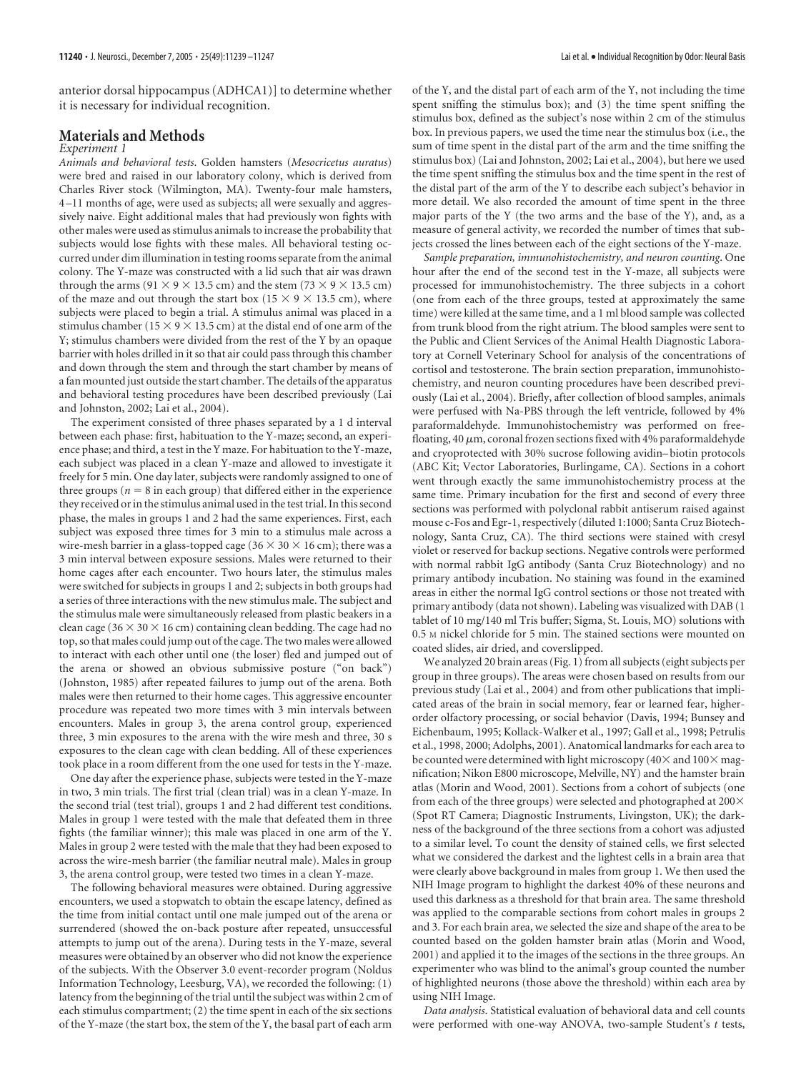anterior dorsal hippocampus (ADHCA1)] to determine whether it is necessary for individual recognition.

## **Materials and Methods**

#### *Experiment 1*

*Animals and behavioral tests*. Golden hamsters (*Mesocricetus auratus*) were bred and raised in our laboratory colony, which is derived from Charles River stock (Wilmington, MA). Twenty-four male hamsters, 4 –11 months of age, were used as subjects; all were sexually and aggressively naive. Eight additional males that had previously won fights with other males were used as stimulus animals to increase the probability that subjects would lose fights with these males. All behavioral testing occurred under dim illumination in testing rooms separate from the animal colony. The Y-maze was constructed with a lid such that air was drawn through the arms (91  $\times$  9  $\times$  13.5 cm) and the stem (73  $\times$  9  $\times$  13.5 cm) of the maze and out through the start box ( $15 \times 9 \times 13.5$  cm), where subjects were placed to begin a trial. A stimulus animal was placed in a stimulus chamber (15  $\times$  9  $\times$  13.5 cm) at the distal end of one arm of the Y; stimulus chambers were divided from the rest of the Y by an opaque barrier with holes drilled in it so that air could pass through this chamber and down through the stem and through the start chamber by means of a fan mounted just outside the start chamber. The details of the apparatus and behavioral testing procedures have been described previously (Lai and Johnston, 2002; Lai et al., 2004).

The experiment consisted of three phases separated by a 1 d interval between each phase: first, habituation to the Y-maze; second, an experience phase; and third, a test in the Y maze. For habituation to the Y-maze, each subject was placed in a clean Y-maze and allowed to investigate it freely for 5 min. One day later, subjects were randomly assigned to one of three groups ( $n = 8$  in each group) that differed either in the experience they received or in the stimulus animal used in the test trial. In this second phase, the males in groups 1 and 2 had the same experiences. First, each subject was exposed three times for 3 min to a stimulus male across a wire-mesh barrier in a glass-topped cage ( $36 \times 30 \times 16$  cm); there was a 3 min interval between exposure sessions. Males were returned to their home cages after each encounter. Two hours later, the stimulus males were switched for subjects in groups 1 and 2; subjects in both groups had a series of three interactions with the new stimulus male. The subject and the stimulus male were simultaneously released from plastic beakers in a clean cage ( $36 \times 30 \times 16$  cm) containing clean bedding. The cage had no top, so that males could jump out of the cage. The two males were allowed to interact with each other until one (the loser) fled and jumped out of the arena or showed an obvious submissive posture ("on back") (Johnston, 1985) after repeated failures to jump out of the arena. Both males were then returned to their home cages. This aggressive encounter procedure was repeated two more times with 3 min intervals between encounters. Males in group 3, the arena control group, experienced three, 3 min exposures to the arena with the wire mesh and three, 30 s exposures to the clean cage with clean bedding. All of these experiences took place in a room different from the one used for tests in the Y-maze.

One day after the experience phase, subjects were tested in the Y-maze in two, 3 min trials. The first trial (clean trial) was in a clean Y-maze. In the second trial (test trial), groups 1 and 2 had different test conditions. Males in group 1 were tested with the male that defeated them in three fights (the familiar winner); this male was placed in one arm of the Y. Males in group 2 were tested with the male that they had been exposed to across the wire-mesh barrier (the familiar neutral male). Males in group 3, the arena control group, were tested two times in a clean Y-maze.

The following behavioral measures were obtained. During aggressive encounters, we used a stopwatch to obtain the escape latency, defined as the time from initial contact until one male jumped out of the arena or surrendered (showed the on-back posture after repeated, unsuccessful attempts to jump out of the arena). During tests in the Y-maze, several measures were obtained by an observer who did not know the experience of the subjects. With the Observer 3.0 event-recorder program (Noldus Information Technology, Leesburg, VA), we recorded the following: (1) latency from the beginning of the trial until the subject was within 2 cm of each stimulus compartment; (2) the time spent in each of the six sections of the Y-maze (the start box, the stem of the Y, the basal part of each arm

of the Y, and the distal part of each arm of the Y, not including the time spent sniffing the stimulus box); and (3) the time spent sniffing the stimulus box, defined as the subject's nose within 2 cm of the stimulus box. In previous papers, we used the time near the stimulus box (i.e., the sum of time spent in the distal part of the arm and the time sniffing the stimulus box) (Lai and Johnston, 2002; Lai et al., 2004), but here we used the time spent sniffing the stimulus box and the time spent in the rest of the distal part of the arm of the Y to describe each subject's behavior in more detail. We also recorded the amount of time spent in the three major parts of the Y (the two arms and the base of the Y), and, as a measure of general activity, we recorded the number of times that subjects crossed the lines between each of the eight sections of the Y-maze.

*Sample preparation, immunohistochemistry, and neuron counting*. One hour after the end of the second test in the Y-maze, all subjects were processed for immunohistochemistry. The three subjects in a cohort (one from each of the three groups, tested at approximately the same time) were killed at the same time, and a 1 ml blood sample was collected from trunk blood from the right atrium. The blood samples were sent to the Public and Client Services of the Animal Health Diagnostic Laboratory at Cornell Veterinary School for analysis of the concentrations of cortisol and testosterone. The brain section preparation, immunohistochemistry, and neuron counting procedures have been described previously (Lai et al., 2004). Briefly, after collection of blood samples, animals were perfused with Na-PBS through the left ventricle, followed by 4% paraformaldehyde. Immunohistochemistry was performed on freefloating, 40  $\mu$ m, coronal frozen sections fixed with 4% paraformaldehyde and cryoprotected with 30% sucrose following avidin– biotin protocols (ABC Kit; Vector Laboratories, Burlingame, CA). Sections in a cohort went through exactly the same immunohistochemistry process at the same time. Primary incubation for the first and second of every three sections was performed with polyclonal rabbit antiserum raised against mouse c-Fos and Egr-1, respectively (diluted 1:1000; Santa Cruz Biotechnology, Santa Cruz, CA). The third sections were stained with cresyl violet or reserved for backup sections. Negative controls were performed with normal rabbit IgG antibody (Santa Cruz Biotechnology) and no primary antibody incubation. No staining was found in the examined areas in either the normal IgG control sections or those not treated with primary antibody (data not shown). Labeling was visualized with DAB (1 tablet of 10 mg/140 ml Tris buffer; Sigma, St. Louis, MO) solutions with 0.5 M nickel chloride for 5 min. The stained sections were mounted on coated slides, air dried, and coverslipped.

We analyzed 20 brain areas (Fig. 1) from all subjects (eight subjects per group in three groups). The areas were chosen based on results from our previous study (Lai et al., 2004) and from other publications that implicated areas of the brain in social memory, fear or learned fear, higherorder olfactory processing, or social behavior (Davis, 1994; Bunsey and Eichenbaum, 1995; Kollack-Walker et al., 1997; Gall et al., 1998; Petrulis et al., 1998, 2000; Adolphs, 2001). Anatomical landmarks for each area to be counted were determined with light microscopy ( $40\times$  and  $100\times$  magnification; Nikon E800 microscope, Melville, NY) and the hamster brain atlas (Morin and Wood, 2001). Sections from a cohort of subjects (one from each of the three groups) were selected and photographed at 200 $\times$ (Spot RT Camera; Diagnostic Instruments, Livingston, UK); the darkness of the background of the three sections from a cohort was adjusted to a similar level. To count the density of stained cells, we first selected what we considered the darkest and the lightest cells in a brain area that were clearly above background in males from group 1. We then used the NIH Image program to highlight the darkest 40% of these neurons and used this darkness as a threshold for that brain area. The same threshold was applied to the comparable sections from cohort males in groups 2 and 3. For each brain area, we selected the size and shape of the area to be counted based on the golden hamster brain atlas (Morin and Wood, 2001) and applied it to the images of the sections in the three groups. An experimenter who was blind to the animal's group counted the number of highlighted neurons (those above the threshold) within each area by using NIH Image.

*Data analysis*. Statistical evaluation of behavioral data and cell counts were performed with one-way ANOVA, two-sample Student's *t* tests,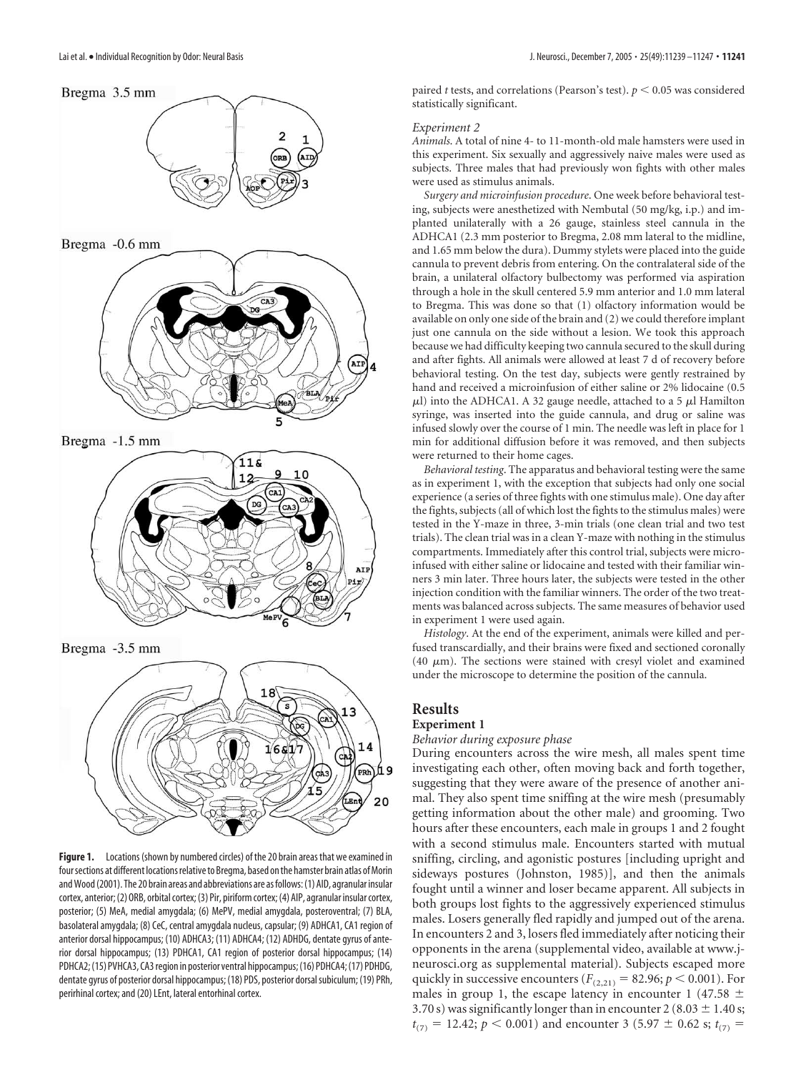

PRh 20

Figure 1. Locations (shown by numbered circles) of the 20 brain areas that we examined in four sections at different locations relative to Bregma, based on the hamster brain atlas of Morin and Wood (2001). The 20 brain areas and abbreviations are as follows: (1) AID, agranular insular cortex, anterior;(2) ORB, orbital cortex;(3) Pir, piriform cortex;(4) AIP, agranular insular cortex, posterior; (5) MeA, medial amygdala; (6) MePV, medial amygdala, posteroventral; (7) BLA, basolateral amygdala; (8) CeC, central amygdala nucleus, capsular; (9) ADHCA1, CA1 region of anterior dorsal hippocampus; (10) ADHCA3; (11) ADHCA4; (12) ADHDG, dentate gyrus of anterior dorsal hippocampus; (13) PDHCA1, CA1 region of posterior dorsal hippocampus; (14) PDHCA2; (15) PVHCA3, CA3 region in posterior ventral hippocampus; (16) PDHCA4; (17) PDHDG, dentate gyrus of posterior dorsal hippocampus; (18) PDS, posterior dorsal subiculum; (19) PRh, perirhinal cortex; and (20) LEnt, lateral entorhinal cortex.

paired *t* tests, and correlations (Pearson's test).  $p < 0.05$  was considered statistically significant.

#### *Experiment 2*

*Animals*. A total of nine 4- to 11-month-old male hamsters were used in this experiment. Six sexually and aggressively naive males were used as subjects. Three males that had previously won fights with other males were used as stimulus animals.

*Surgery and microinfusion procedure*. One week before behavioral testing, subjects were anesthetized with Nembutal (50 mg/kg, i.p.) and implanted unilaterally with a 26 gauge, stainless steel cannula in the ADHCA1 (2.3 mm posterior to Bregma, 2.08 mm lateral to the midline, and 1.65 mm below the dura). Dummy stylets were placed into the guide cannula to prevent debris from entering. On the contralateral side of the brain, a unilateral olfactory bulbectomy was performed via aspiration through a hole in the skull centered 5.9 mm anterior and 1.0 mm lateral to Bregma. This was done so that (1) olfactory information would be available on only one side of the brain and (2) we could therefore implant just one cannula on the side without a lesion. We took this approach because we had difficulty keeping two cannula secured to the skull during and after fights. All animals were allowed at least 7 d of recovery before behavioral testing. On the test day, subjects were gently restrained by hand and received a microinfusion of either saline or 2% lidocaine (0.5  $\mu$ l) into the ADHCA1. A 32 gauge needle, attached to a 5  $\mu$ l Hamilton syringe, was inserted into the guide cannula, and drug or saline was infused slowly over the course of 1 min. The needle was left in place for 1 min for additional diffusion before it was removed, and then subjects were returned to their home cages.

*Behavioral testing*. The apparatus and behavioral testing were the same as in experiment 1, with the exception that subjects had only one social experience (a series of three fights with one stimulus male). One day after the fights, subjects (all of which lost the fights to the stimulus males) were tested in the Y-maze in three, 3-min trials (one clean trial and two test trials). The clean trial was in a clean Y-maze with nothing in the stimulus compartments. Immediately after this control trial, subjects were microinfused with either saline or lidocaine and tested with their familiar winners 3 min later. Three hours later, the subjects were tested in the other injection condition with the familiar winners. The order of the two treatments was balanced across subjects. The same measures of behavior used in experiment 1 were used again.

*Histology*. At the end of the experiment, animals were killed and perfused transcardially, and their brains were fixed and sectioned coronally (40  $\mu$ m). The sections were stained with cresyl violet and examined under the microscope to determine the position of the cannula.

# **Results**

# **Experiment 1**

## *Behavior during exposure phase*

During encounters across the wire mesh, all males spent time investigating each other, often moving back and forth together, suggesting that they were aware of the presence of another animal. They also spent time sniffing at the wire mesh (presumably getting information about the other male) and grooming. Two hours after these encounters, each male in groups 1 and 2 fought with a second stimulus male. Encounters started with mutual sniffing, circling, and agonistic postures [including upright and sideways postures (Johnston, 1985)], and then the animals fought until a winner and loser became apparent. All subjects in both groups lost fights to the aggressively experienced stimulus males. Losers generally fled rapidly and jumped out of the arena. In encounters 2 and 3, losers fled immediately after noticing their opponents in the arena (supplemental video, available at www.jneurosci.org as supplemental material). Subjects escaped more quickly in successive encounters ( $F_{(2,21)} = 82.96; p \le 0.001$ ). For males in group 1, the escape latency in encounter 1 (47.58  $\pm$ 3.70 s) was significantly longer than in encounter 2 (8.03  $\pm$  1.40 s;  $t_{(7)} = 12.42$ ;  $p \le 0.001$ ) and encounter 3 (5.97  $\pm$  0.62 s;  $t_{(7)} =$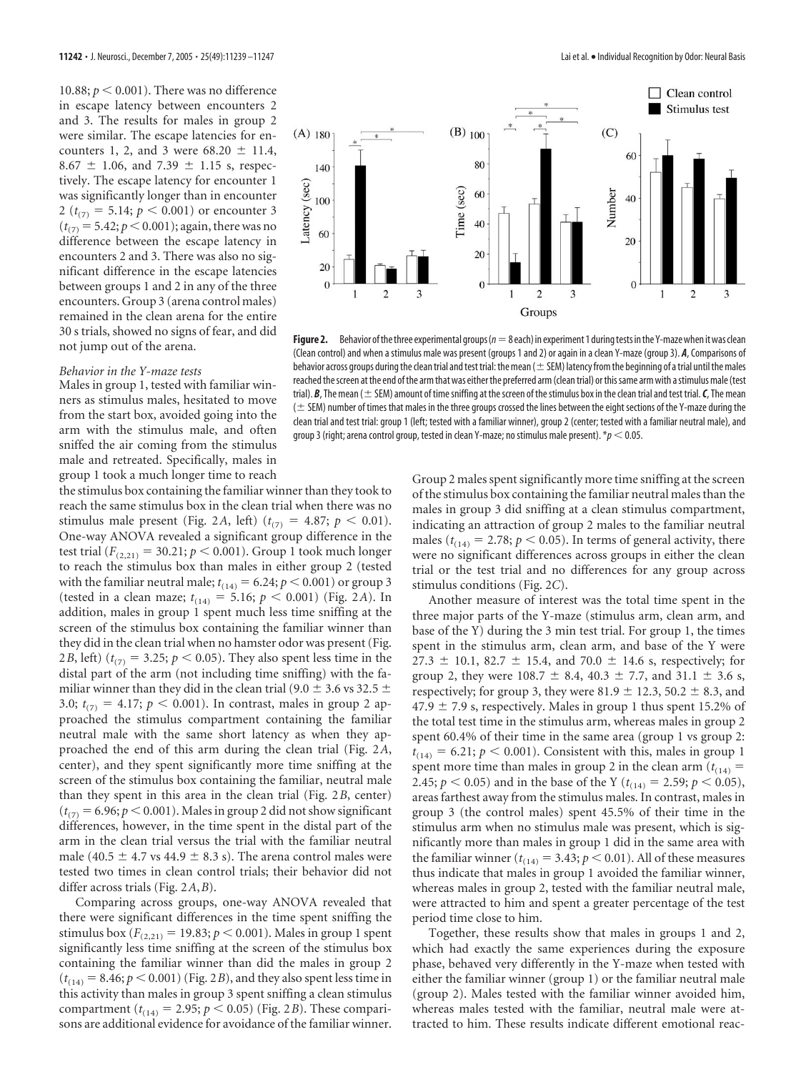10.88;  $p < 0.001$ ). There was no difference in escape latency between encounters 2 and 3. The results for males in group 2 were similar. The escape latencies for encounters 1, 2, and 3 were  $68.20 \pm 11.4$ , 8.67  $\pm$  1.06, and 7.39  $\pm$  1.15 s, respectively. The escape latency for encounter 1 was significantly longer than in encounter 2 ( $t_{(7)} = 5.14$ ;  $p < 0.001$ ) or encounter 3  $(t_{(7)} = 5.42; p < 0.001)$ ; again, there was no difference between the escape latency in encounters 2 and 3. There was also no significant difference in the escape latencies between groups 1 and 2 in any of the three encounters. Group 3 (arena control males) remained in the clean arena for the entire 30 s trials, showed no signs of fear, and did not jump out of the arena.

### *Behavior in the Y-maze tests*

Males in group 1, tested with familiar winners as stimulus males, hesitated to move from the start box, avoided going into the arm with the stimulus male, and often sniffed the air coming from the stimulus male and retreated. Specifically, males in group 1 took a much longer time to reach

the stimulus box containing the familiar winner than they took to reach the same stimulus box in the clean trial when there was no stimulus male present (Fig. 2A, left) ( $t_{(7)} = 4.87; p < 0.01$ ). One-way ANOVA revealed a significant group difference in the test trial ( $F_{(2,21)} = 30.21; p < 0.001$ ). Group 1 took much longer to reach the stimulus box than males in either group 2 (tested with the familiar neutral male;  $t_{(14)} = 6.24; p < 0.001$ ) or group 3 (tested in a clean maze;  $t_{(14)} = 5.16$ ;  $p < 0.001$ ) (Fig. 2*A*). In addition, males in group 1 spent much less time sniffing at the screen of the stimulus box containing the familiar winner than they did in the clean trial when no hamster odor was present (Fig. 2*B*, left) ( $t_{(7)} = 3.25; p < 0.05$ ). They also spent less time in the distal part of the arm (not including time sniffing) with the familiar winner than they did in the clean trial (9.0  $\pm$  3.6 vs 32.5  $\pm$ 3.0;  $t_{(7)} = 4.17$ ;  $p < 0.001$ ). In contrast, males in group 2 approached the stimulus compartment containing the familiar neutral male with the same short latency as when they approached the end of this arm during the clean trial (Fig. 2*A*, center), and they spent significantly more time sniffing at the screen of the stimulus box containing the familiar, neutral male than they spent in this area in the clean trial (Fig. 2*B*, center)  $(t_{(7)} = 6.96; p < 0.001)$ . Males in group 2 did not show significant differences, however, in the time spent in the distal part of the arm in the clean trial versus the trial with the familiar neutral male (40.5  $\pm$  4.7 vs 44.9  $\pm$  8.3 s). The arena control males were tested two times in clean control trials; their behavior did not differ across trials (Fig. 2*A*,*B*).

Comparing across groups, one-way ANOVA revealed that there were significant differences in the time spent sniffing the stimulus box ( $F_{(2,21)} = 19.83; p \le 0.001$ ). Males in group 1 spent significantly less time sniffing at the screen of the stimulus box containing the familiar winner than did the males in group 2  $(t_{(14)} = 8.46; p \le 0.001)$  (Fig. 2*B*), and they also spent less time in this activity than males in group 3 spent sniffing a clean stimulus compartment ( $t_{(14)} = 2.95$ ;  $p < 0.05$ ) (Fig. 2*B*). These comparisons are additional evidence for avoidance of the familiar winner.



**Figure2.** Behavior ofthethree experimental groups(*n*-8 each) in experiment 1 duringtests inthe Y-mazewhen itwas clean (Clean control) and when a stimulus male was present (groups 1 and 2) or again in a clean Y-maze (group 3). *A*, Comparisons of behavior across groups during the clean trial and test trial: the mean  $($   $\pm$  SEM) latency from the beginning of a trial until the males reached the screen at the end of the arm that was either the preferred arm (clean trial) or this same arm with a stimulus male (test trial).  $B$ , The mean ( $\pm$  SEM) amount of time sniffing at the screen of the stimulus box in the clean trial and test trial.  $C$ , The mean  $($   $\pm$  SEM) number of times that males in the three groups crossed the lines between the eight sections of the Y-maze during the clean trial and test trial: group 1 (left; tested with a familiar winner), group 2 (center; tested with a familiar neutral male), and group 3 (right; arena control group, tested in clean Y-maze; no stimulus male present).  $*_p$  < 0.05.

Group 2 males spent significantly more time sniffing at the screen of the stimulus box containing the familiar neutral males than the males in group 3 did sniffing at a clean stimulus compartment, indicating an attraction of group 2 males to the familiar neutral males ( $t_{(14)} = 2.78$ ;  $p < 0.05$ ). In terms of general activity, there were no significant differences across groups in either the clean trial or the test trial and no differences for any group across stimulus conditions (Fig. 2*C*).

Another measure of interest was the total time spent in the three major parts of the Y-maze (stimulus arm, clean arm, and base of the Y) during the 3 min test trial. For group 1, the times spent in the stimulus arm, clean arm, and base of the Y were 27.3  $\pm$  10.1, 82.7  $\pm$  15.4, and 70.0  $\pm$  14.6 s, respectively; for group 2, they were 108.7  $\pm$  8.4, 40.3  $\pm$  7.7, and 31.1  $\pm$  3.6 s, respectively; for group 3, they were 81.9  $\pm$  12.3, 50.2  $\pm$  8.3, and  $47.9 \pm 7.9$  s, respectively. Males in group 1 thus spent 15.2% of the total test time in the stimulus arm, whereas males in group 2 spent 60.4% of their time in the same area (group 1 vs group 2:  $t_{(14)} = 6.21; p < 0.001$ ). Consistent with this, males in group 1 spent more time than males in group 2 in the clean arm  $(t_{(14)} =$ 2.45;  $p < 0.05$ ) and in the base of the Y ( $t_{(14)} = 2.59$ ;  $p < 0.05$ ), areas farthest away from the stimulus males. In contrast, males in group 3 (the control males) spent 45.5% of their time in the stimulus arm when no stimulus male was present, which is significantly more than males in group 1 did in the same area with the familiar winner ( $t_{(14)} = 3.43; p < 0.01$ ). All of these measures thus indicate that males in group 1 avoided the familiar winner, whereas males in group 2, tested with the familiar neutral male, were attracted to him and spent a greater percentage of the test period time close to him.

Together, these results show that males in groups 1 and 2, which had exactly the same experiences during the exposure phase, behaved very differently in the Y-maze when tested with either the familiar winner (group 1) or the familiar neutral male (group 2). Males tested with the familiar winner avoided him, whereas males tested with the familiar, neutral male were attracted to him. These results indicate different emotional reac-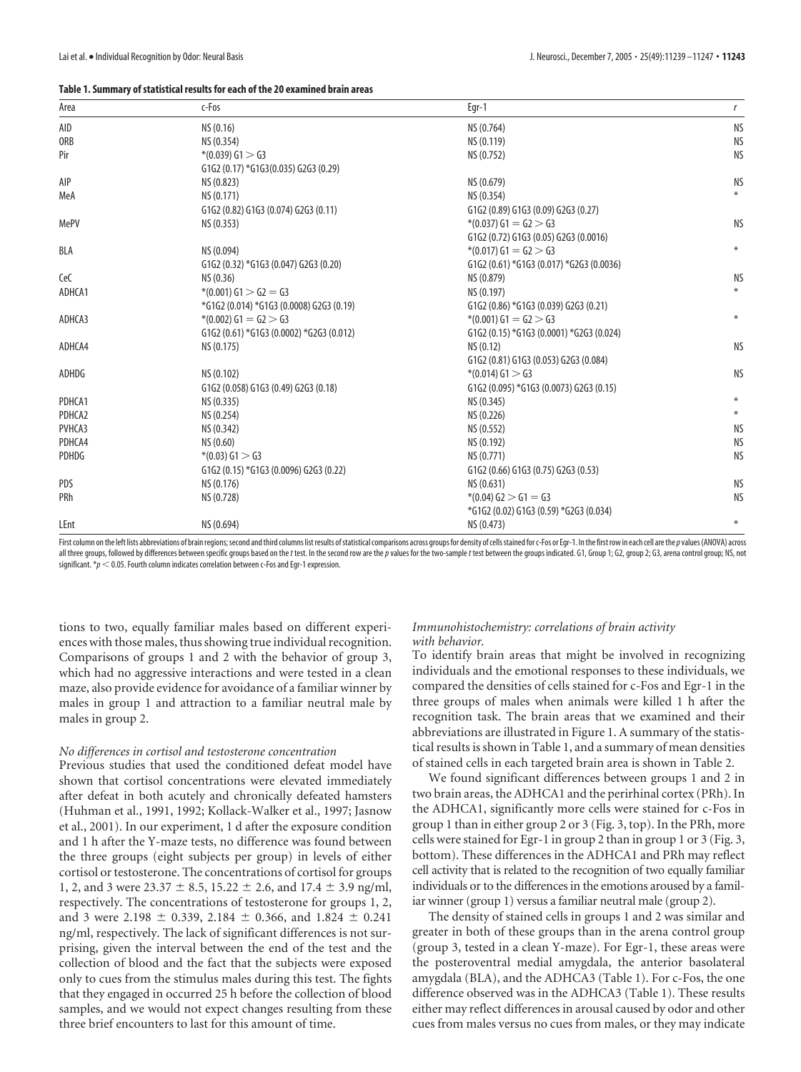#### **Table 1. Summary of statistical results for each of the 20 examined brain areas**

| Area         | c-Fos                                    | Egr-1                                    | r         |
|--------------|------------------------------------------|------------------------------------------|-----------|
| AID          | NS (0.16)                                | NS (0.764)                               | <b>NS</b> |
| <b>ORB</b>   | NS (0.354)                               | NS (0.119)                               | <b>NS</b> |
| Pir          | $*(0.039) G1 > G3$                       | NS (0.752)                               | <b>NS</b> |
|              | G1G2 (0.17) *G1G3(0.035) G2G3 (0.29)     |                                          |           |
| AIP          | NS (0.823)                               | NS (0.679)                               | <b>NS</b> |
| MeA          | NS (0.171)                               | NS (0.354)                               |           |
|              | G1G2 (0.82) G1G3 (0.074) G2G3 (0.11)     | G1G2 (0.89) G1G3 (0.09) G2G3 (0.27)      |           |
| MePV         | NS (0.353)                               | $*(0.037) G1 = G2 > G3$                  | <b>NS</b> |
|              |                                          | G1G2 (0.72) G1G3 (0.05) G2G3 (0.0016)    |           |
| BLA          | NS (0.094)                               | $*(0.017) G1 = G2 > G3$                  | $\ast$    |
|              | G1G2 (0.32) *G1G3 (0.047) G2G3 (0.20)    | G1G2 (0.61) *G1G3 (0.017) *G2G3 (0.0036) |           |
| CeC          | NS (0.36)                                | NS (0.879)                               | <b>NS</b> |
| ADHCA1       | $*(0.001) G1 > G2 = G3$                  | NS (0.197)                               | $*$       |
|              | *G1G2 (0.014) *G1G3 (0.0008) G2G3 (0.19) | G1G2 (0.86) *G1G3 (0.039) G2G3 (0.21)    |           |
| ADHCA3       | $*(0.002) G1 = G2 > G3$                  | $*(0.001) G1 = G2 > G3$                  | $\ast$    |
|              | G1G2 (0.61) *G1G3 (0.0002) *G2G3 (0.012) | G1G2 (0.15) *G1G3 (0.0001) *G2G3 (0.024) |           |
| ADHCA4       | NS (0.175)                               | NS (0.12)                                | <b>NS</b> |
|              |                                          | G1G2 (0.81) G1G3 (0.053) G2G3 (0.084)    |           |
| ADHDG        | NS (0.102)                               | $*(0.014)$ G1 $>$ G3                     | <b>NS</b> |
|              | G1G2 (0.058) G1G3 (0.49) G2G3 (0.18)     | G1G2 (0.095) *G1G3 (0.0073) G2G3 (0.15)  |           |
| PDHCA1       | NS (0.335)                               | NS (0.345)                               |           |
| PDHCA2       | NS (0.254)                               | NS (0.226)                               | $\ast$    |
| PVHCA3       | NS (0.342)                               | NS (0.552)                               | <b>NS</b> |
| PDHCA4       | NS (0.60)                                | NS (0.192)                               | <b>NS</b> |
| <b>PDHDG</b> | $*(0.03)$ G1 $>$ G3                      | NS (0.771)                               | <b>NS</b> |
|              | G1G2 (0.15) *G1G3 (0.0096) G2G3 (0.22)   | G1G2 (0.66) G1G3 (0.75) G2G3 (0.53)      |           |
| PDS          | NS (0.176)                               | NS (0.631)                               | <b>NS</b> |
| PRh          | NS (0.728)                               | $*(0.04)$ G2 $>$ G1 = G3                 | <b>NS</b> |
|              |                                          | *G1G2 (0.02) G1G3 (0.59) *G2G3 (0.034)   |           |
| LEnt         | NS (0.694)                               | NS (0.473)                               | $\ast$    |

First column on the left lists abbreviations of brain regions; second and third columns list results of statistical comparisons across groups for density of cells stained for c-Fos or Egr-1. In the first row in each cell a all three groups, followed by differences between specific groups based on the t test. In the second row are the p values for the two-sample t test between the groups indicated. G1, Group 1; G2, group 2; G3, arena control significant.  $*\!p < 0.05$ . Fourth column indicates correlation between c-Fos and Egr-1 expression.

tions to two, equally familiar males based on different experiences with those males, thus showing true individual recognition. Comparisons of groups 1 and 2 with the behavior of group 3, which had no aggressive interactions and were tested in a clean maze, also provide evidence for avoidance of a familiar winner by males in group 1 and attraction to a familiar neutral male by males in group 2.

#### *No differences in cortisol and testosterone concentration*

Previous studies that used the conditioned defeat model have shown that cortisol concentrations were elevated immediately after defeat in both acutely and chronically defeated hamsters (Huhman et al., 1991, 1992; Kollack-Walker et al., 1997; Jasnow et al., 2001). In our experiment, 1 d after the exposure condition and 1 h after the Y-maze tests, no difference was found between the three groups (eight subjects per group) in levels of either cortisol or testosterone. The concentrations of cortisol for groups 1, 2, and 3 were 23.37  $\pm$  8.5, 15.22  $\pm$  2.6, and 17.4  $\pm$  3.9 ng/ml, respectively. The concentrations of testosterone for groups 1, 2, and 3 were 2.198  $\pm$  0.339, 2.184  $\pm$  0.366, and 1.824  $\pm$  0.241 ng/ml, respectively. The lack of significant differences is not surprising, given the interval between the end of the test and the collection of blood and the fact that the subjects were exposed only to cues from the stimulus males during this test. The fights that they engaged in occurred 25 h before the collection of blood samples, and we would not expect changes resulting from these three brief encounters to last for this amount of time.

## *Immunohistochemistry: correlations of brain activity with behavior.*

To identify brain areas that might be involved in recognizing individuals and the emotional responses to these individuals, we compared the densities of cells stained for c-Fos and Egr-1 in the three groups of males when animals were killed 1 h after the recognition task. The brain areas that we examined and their abbreviations are illustrated in Figure 1. A summary of the statistical results is shown in Table 1, and a summary of mean densities of stained cells in each targeted brain area is shown in Table 2.

We found significant differences between groups 1 and 2 in two brain areas, the ADHCA1 and the perirhinal cortex (PRh). In the ADHCA1, significantly more cells were stained for c-Fos in group 1 than in either group 2 or 3 (Fig. 3, top). In the PRh, more cells were stained for Egr-1 in group 2 than in group 1 or 3 (Fig. 3, bottom). These differences in the ADHCA1 and PRh may reflect cell activity that is related to the recognition of two equally familiar individuals or to the differences in the emotions aroused by a familiar winner (group 1) versus a familiar neutral male (group 2).

The density of stained cells in groups 1 and 2 was similar and greater in both of these groups than in the arena control group (group 3, tested in a clean Y-maze). For Egr-1, these areas were the posteroventral medial amygdala, the anterior basolateral amygdala (BLA), and the ADHCA3 (Table 1). For c-Fos, the one difference observed was in the ADHCA3 (Table 1). These results either may reflect differences in arousal caused by odor and other cues from males versus no cues from males, or they may indicate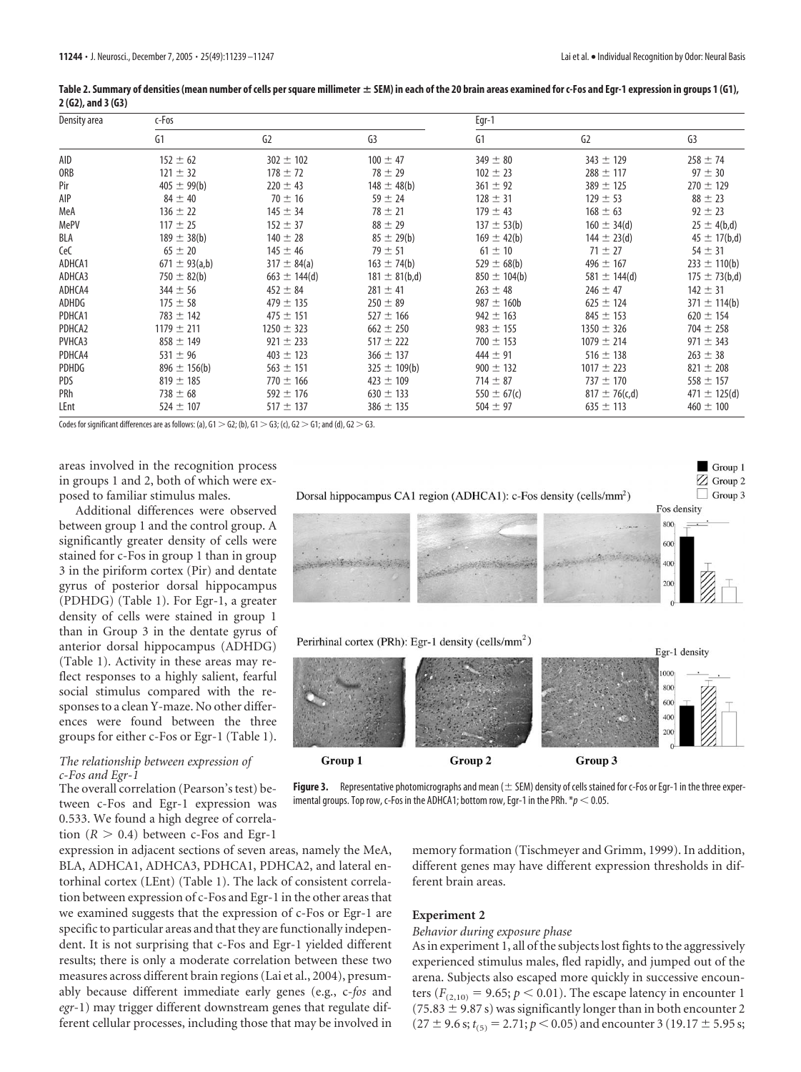| Density area | c-Fos              |                   |                   |                  | Egr-1              |                   |  |
|--------------|--------------------|-------------------|-------------------|------------------|--------------------|-------------------|--|
|              | G1                 | G2                | G <sub>3</sub>    | G1               | G <sub>2</sub>     | G <sub>3</sub>    |  |
| AID          | $152 \pm 62$       | $302 \pm 102$     | $100 \pm 47$      | $349 \pm 80$     | $343 \pm 129$      | $258 \pm 74$      |  |
| ORB          | $121 \pm 32$       | $178 \pm 72$      | $78 \pm 29$       | $102 \pm 23$     | $288 \pm 117$      | $97 \pm 30$       |  |
| Pir          | $405 \pm 99(b)$    | $220 \pm 43$      | $148 \pm 48(b)$   | $361 \pm 92$     | $389 \pm 125$      | $270 \pm 129$     |  |
| AIP          | $84 \pm 40$        | $70 \pm 16$       | $59 \pm 24$       | $128 \pm 31$     | $129 \pm 53$       | $88 \pm 23$       |  |
| MeA          | $136 \pm 22$       | $145 \pm 34$      | $78 \pm 21$       | $179 \pm 43$     | $168 \pm 63$       | $92 \pm 23$       |  |
| MePV         | $117 \pm 25$       | $152 \pm 37$      | $88 \pm 29$       | $137 \pm 53(b)$  | $160 \pm 34$ (d)   | $25 \pm 4(b,d)$   |  |
| BLA          | $189 \pm 38(b)$    | $140 \pm 28$      | $85 \pm 29(b)$    | $169 \pm 42(b)$  | $144 \pm 23$ (d)   | $45 \pm 17(b,d)$  |  |
| CeC          | $65 \pm 20$        | $145 \pm 46$      | $79 \pm 51$       | $61 \pm 10$      | $71 \pm 27$        | $54 \pm 31$       |  |
| ADHCA1       | $671 \pm 93$ (a,b) | $317 \pm 84$ (a)  | $163 \pm 74(b)$   | 529 $\pm$ 68(b)  | $496 \pm 167$      | $233 \pm 110(b)$  |  |
| ADHCA3       | 750 $\pm$ 82(b)    | $663 \pm 144$ (d) | $181 \pm 81(b,d)$ | $850 \pm 104(b)$ | $581 \pm 144$ (d)  | $175 \pm 73(b,d)$ |  |
| ADHCA4       | $344 \pm 56$       | $452 \pm 84$      | $281 \pm 41$      | $263 \pm 48$     | $246 \pm 47$       | $142 \pm 31$      |  |
| ADHDG        | $175 \pm 58$       | $479 \pm 135$     | $250 \pm 89$      | $987 \pm 160$ b  | $625 \pm 124$      | $371 \pm 114(b)$  |  |
| PDHCA1       | $783 \pm 142$      | $475 \pm 151$     | $527 \pm 166$     | $942 \pm 163$    | $845 \pm 153$      | $620 \pm 154$     |  |
| PDHCA2       | $1179 \pm 211$     | $1250 \pm 323$    | $662 \pm 250$     | $983 \pm 155$    | $1350 \pm 326$     | $704 \pm 258$     |  |
| PVHCA3       | $858 \pm 149$      | $921 \pm 233$     | $517 \pm 222$     | $700 \pm 153$    | $1079 \pm 214$     | $971 \pm 343$     |  |
| PDHCA4       | $531 \pm 96$       | $403 \pm 123$     | $366 \pm 137$     | $444 \pm 91$     | $516 \pm 138$      | $263 \pm 38$      |  |
| PDHDG        | $896 \pm 156(b)$   | $563 \pm 151$     | $325 \pm 109(b)$  | $900 \pm 132$    | $1017 \pm 223$     | $821 \pm 208$     |  |
| PDS          | $819 \pm 185$      | $770 \pm 166$     | $423 \pm 109$     | $714 \pm 87$     | $737 \pm 170$      | $558 \pm 157$     |  |
| PRh          | $738 \pm 68$       | $592 \pm 176$     | $630 \pm 133$     | 550 $\pm$ 67(c)  | $817 \pm 76$ (c,d) | 471 $\pm$ 125(d)  |  |
| LEnt         | $524 \pm 107$      | $517 \pm 137$     | $386 \pm 135$     | $504 \pm 97$     | $635 \pm 113$      | $460 \pm 100$     |  |

|                       | Table 2. Summary of densities (mean number of cells per square millimeter ± SEM) in each of the 20 brain areas examined for c-Fos and Egr-1 expression in groups 1 (G1), |  |  |
|-----------------------|--------------------------------------------------------------------------------------------------------------------------------------------------------------------------|--|--|
| $2(62)$ , and $3(63)$ |                                                                                                                                                                          |  |  |

Codes for significant differences are as follows: (a),  $G1 > G2$ ; (b),  $G1 > G3$ ; (c),  $G2 > G1$ ; and (d),  $G2 > G3$ .

areas involved in the recognition process in groups 1 and 2, both of which were exposed to familiar stimulus males.

Additional differences were observed between group 1 and the control group. A significantly greater density of cells were stained for c-Fos in group 1 than in group 3 in the piriform cortex (Pir) and dentate gyrus of posterior dorsal hippocampus (PDHDG) (Table 1). For Egr-1, a greater density of cells were stained in group 1 than in Group 3 in the dentate gyrus of anterior dorsal hippocampus (ADHDG) (Table 1). Activity in these areas may reflect responses to a highly salient, fearful social stimulus compared with the responses to a clean Y-maze. No other differences were found between the three groups for either c-Fos or Egr-1 (Table 1).

## *The relationship between expression of c-Fos and Egr-1*

The overall correlation (Pearson's test) between c-Fos and Egr-1 expression was 0.533. We found a high degree of correlation  $(R > 0.4)$  between c-Fos and Egr-1

expression in adjacent sections of seven areas, namely the MeA, BLA, ADHCA1, ADHCA3, PDHCA1, PDHCA2, and lateral entorhinal cortex (LEnt) (Table 1). The lack of consistent correlation between expression of c-Fos and Egr-1 in the other areas that we examined suggests that the expression of c-Fos or Egr-1 are specific to particular areas and that they are functionally independent. It is not surprising that c-Fos and Egr-1 yielded different results; there is only a moderate correlation between these two measures across different brain regions (Lai et al., 2004), presumably because different immediate early genes (e.g., c-*fos* and *egr*-1) may trigger different downstream genes that regulate different cellular processes, including those that may be involved in



**Figure 3.** Representative photomicrographs and mean  $(\pm$  SEM) density of cells stained for c-Fos or Egr-1 in the three experimental groups. Top row,  $c$ -Fos in the ADHCA1; bottom row, Egr-1 in the PRh.  $*_p$  < 0.05.

memory formation (Tischmeyer and Grimm, 1999). In addition, different genes may have different expression thresholds in different brain areas.

# **Experiment 2**

#### *Behavior during exposure phase*

As in experiment 1, all of the subjects lost fights to the aggressively experienced stimulus males, fled rapidly, and jumped out of the arena. Subjects also escaped more quickly in successive encounters ( $F_{(2,10)} = 9.65$ ;  $p < 0.01$ ). The escape latency in encounter 1  $(75.83 \pm 9.87 \text{ s})$  was significantly longer than in both encounter 2  $(27 \pm 9.6 \text{ s}; t_{(5)} = 2.71; p < 0.05)$  and encounter 3 (19.17  $\pm$  5.95 s;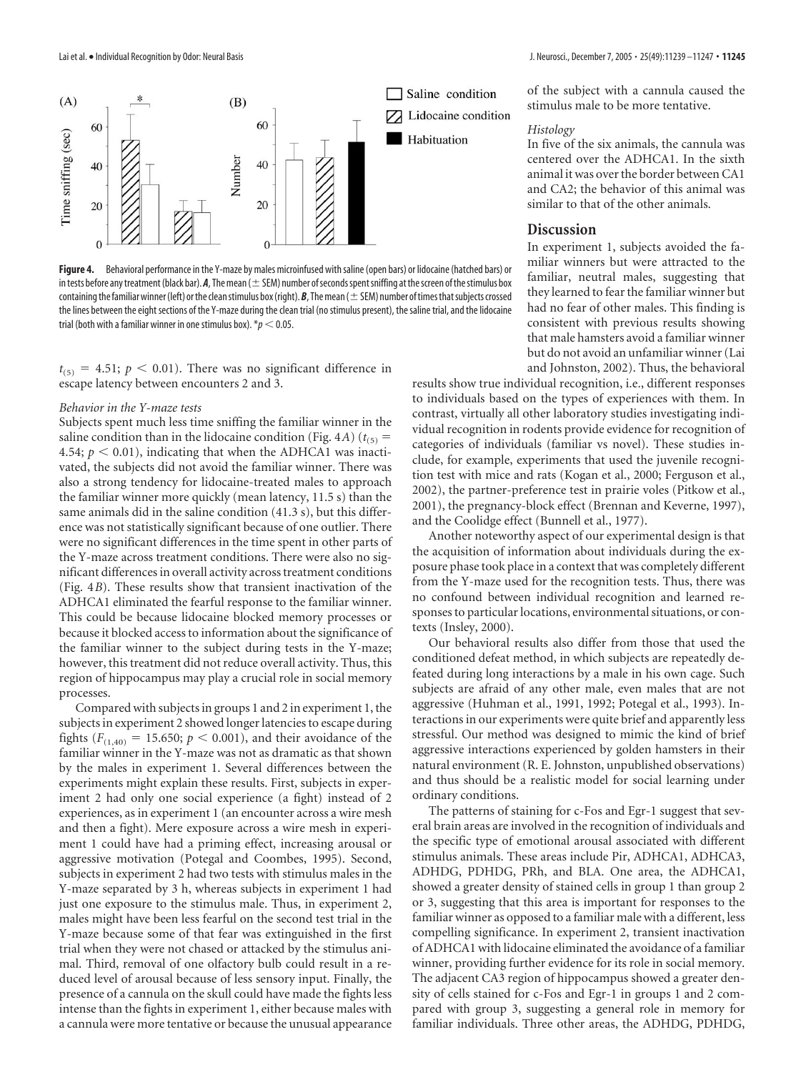

Figure 4. Behavioral performance in the Y-maze by males microinfused with saline (open bars) or lidocaine (hatched bars) or in tests before any treatment (black bar).  $A$ , The mean ( $\pm$  SEM) number of seconds spent sniffing at the screen of the stimulus box containing the familiar winner (left) or the clean stimulus box (right).  $B$ , The mean ( $\pm$  SEM) number of times that subjects crossed the lines between the eight sections of the Y-maze during the clean trial (no stimulus present), the saline trial, and the lidocaine trial (both with a familiar winner in one stimulus box).  $p < 0.05$ .

 $t_{(5)} = 4.51$ ;  $p < 0.01$ ). There was no significant difference in escape latency between encounters 2 and 3.

## *Behavior in the Y-maze tests*

Subjects spent much less time sniffing the familiar winner in the saline condition than in the lidocaine condition (Fig. 4*A*) ( $t_{(5)}$  = 4.54;  $p < 0.01$ ), indicating that when the ADHCA1 was inactivated, the subjects did not avoid the familiar winner. There was also a strong tendency for lidocaine-treated males to approach the familiar winner more quickly (mean latency, 11.5 s) than the same animals did in the saline condition (41.3 s), but this difference was not statistically significant because of one outlier. There were no significant differences in the time spent in other parts of the Y-maze across treatment conditions. There were also no significant differences in overall activity across treatment conditions (Fig. 4*B*). These results show that transient inactivation of the ADHCA1 eliminated the fearful response to the familiar winner. This could be because lidocaine blocked memory processes or because it blocked access to information about the significance of the familiar winner to the subject during tests in the Y-maze; however, this treatment did not reduce overall activity. Thus, this region of hippocampus may play a crucial role in social memory processes.

Compared with subjects in groups 1 and 2 in experiment 1, the subjects in experiment 2 showed longer latencies to escape during fights ( $F_{(1,40)} = 15.650$ ;  $p < 0.001$ ), and their avoidance of the familiar winner in the Y-maze was not as dramatic as that shown by the males in experiment 1. Several differences between the experiments might explain these results. First, subjects in experiment 2 had only one social experience (a fight) instead of 2 experiences, as in experiment 1 (an encounter across a wire mesh and then a fight). Mere exposure across a wire mesh in experiment 1 could have had a priming effect, increasing arousal or aggressive motivation (Potegal and Coombes, 1995). Second, subjects in experiment 2 had two tests with stimulus males in the Y-maze separated by 3 h, whereas subjects in experiment 1 had just one exposure to the stimulus male. Thus, in experiment 2, males might have been less fearful on the second test trial in the Y-maze because some of that fear was extinguished in the first trial when they were not chased or attacked by the stimulus animal. Third, removal of one olfactory bulb could result in a reduced level of arousal because of less sensory input. Finally, the presence of a cannula on the skull could have made the fights less intense than the fights in experiment 1, either because males with a cannula were more tentative or because the unusual appearance

of the subject with a cannula caused the stimulus male to be more tentative.

#### *Histology*

In five of the six animals, the cannula was centered over the ADHCA1. In the sixth animal it was over the border between CA1 and CA2; the behavior of this animal was similar to that of the other animals.

# **Discussion**

In experiment 1, subjects avoided the familiar winners but were attracted to the familiar, neutral males, suggesting that they learned to fear the familiar winner but had no fear of other males. This finding is consistent with previous results showing that male hamsters avoid a familiar winner but do not avoid an unfamiliar winner (Lai and Johnston, 2002). Thus, the behavioral

results show true individual recognition, i.e., different responses to individuals based on the types of experiences with them. In contrast, virtually all other laboratory studies investigating individual recognition in rodents provide evidence for recognition of categories of individuals (familiar vs novel). These studies include, for example, experiments that used the juvenile recognition test with mice and rats (Kogan et al., 2000; Ferguson et al., 2002), the partner-preference test in prairie voles (Pitkow et al., 2001), the pregnancy-block effect (Brennan and Keverne, 1997), and the Coolidge effect (Bunnell et al., 1977).

Another noteworthy aspect of our experimental design is that the acquisition of information about individuals during the exposure phase took place in a context that was completely different from the Y-maze used for the recognition tests. Thus, there was no confound between individual recognition and learned responses to particular locations, environmental situations, or contexts (Insley, 2000).

Our behavioral results also differ from those that used the conditioned defeat method, in which subjects are repeatedly defeated during long interactions by a male in his own cage. Such subjects are afraid of any other male, even males that are not aggressive (Huhman et al., 1991, 1992; Potegal et al., 1993). Interactions in our experiments were quite brief and apparently less stressful. Our method was designed to mimic the kind of brief aggressive interactions experienced by golden hamsters in their natural environment (R. E. Johnston, unpublished observations) and thus should be a realistic model for social learning under ordinary conditions.

The patterns of staining for c-Fos and Egr-1 suggest that several brain areas are involved in the recognition of individuals and the specific type of emotional arousal associated with different stimulus animals. These areas include Pir, ADHCA1, ADHCA3, ADHDG, PDHDG, PRh, and BLA. One area, the ADHCA1, showed a greater density of stained cells in group 1 than group 2 or 3, suggesting that this area is important for responses to the familiar winner as opposed to a familiar male with a different, less compelling significance. In experiment 2, transient inactivation of ADHCA1 with lidocaine eliminated the avoidance of a familiar winner, providing further evidence for its role in social memory. The adjacent CA3 region of hippocampus showed a greater density of cells stained for c-Fos and Egr-1 in groups 1 and 2 compared with group 3, suggesting a general role in memory for familiar individuals. Three other areas, the ADHDG, PDHDG,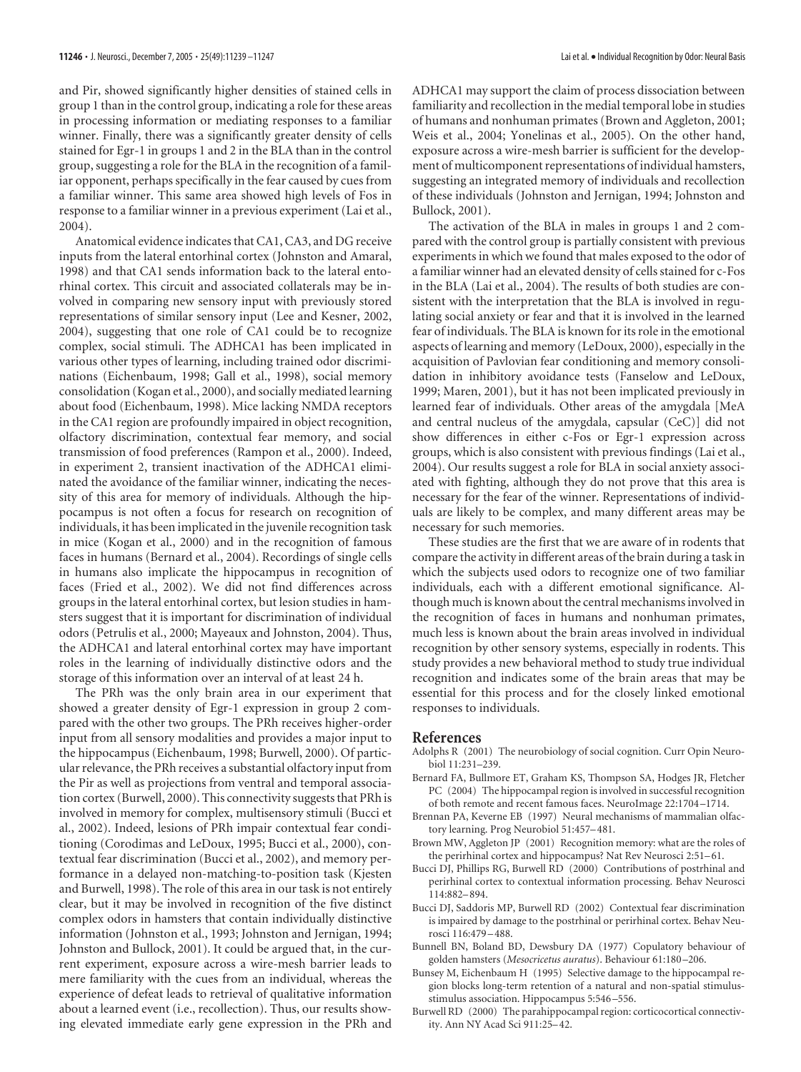and Pir, showed significantly higher densities of stained cells in group 1 than in the control group, indicating a role for these areas in processing information or mediating responses to a familiar winner. Finally, there was a significantly greater density of cells stained for Egr-1 in groups 1 and 2 in the BLA than in the control group, suggesting a role for the BLA in the recognition of a familiar opponent, perhaps specifically in the fear caused by cues from a familiar winner. This same area showed high levels of Fos in response to a familiar winner in a previous experiment (Lai et al., 2004).

Anatomical evidence indicates that CA1, CA3, and DG receive inputs from the lateral entorhinal cortex (Johnston and Amaral, 1998) and that CA1 sends information back to the lateral entorhinal cortex. This circuit and associated collaterals may be involved in comparing new sensory input with previously stored representations of similar sensory input (Lee and Kesner, 2002, 2004), suggesting that one role of CA1 could be to recognize complex, social stimuli. The ADHCA1 has been implicated in various other types of learning, including trained odor discriminations (Eichenbaum, 1998; Gall et al., 1998), social memory consolidation (Kogan et al., 2000), and socially mediated learning about food (Eichenbaum, 1998). Mice lacking NMDA receptors in the CA1 region are profoundly impaired in object recognition, olfactory discrimination, contextual fear memory, and social transmission of food preferences (Rampon et al., 2000). Indeed, in experiment 2, transient inactivation of the ADHCA1 eliminated the avoidance of the familiar winner, indicating the necessity of this area for memory of individuals. Although the hippocampus is not often a focus for research on recognition of individuals, it has been implicated in the juvenile recognition task in mice (Kogan et al., 2000) and in the recognition of famous faces in humans (Bernard et al., 2004). Recordings of single cells in humans also implicate the hippocampus in recognition of faces (Fried et al., 2002). We did not find differences across groups in the lateral entorhinal cortex, but lesion studies in hamsters suggest that it is important for discrimination of individual odors (Petrulis et al., 2000; Mayeaux and Johnston, 2004). Thus, the ADHCA1 and lateral entorhinal cortex may have important roles in the learning of individually distinctive odors and the storage of this information over an interval of at least 24 h.

The PRh was the only brain area in our experiment that showed a greater density of Egr-1 expression in group 2 compared with the other two groups. The PRh receives higher-order input from all sensory modalities and provides a major input to the hippocampus (Eichenbaum, 1998; Burwell, 2000). Of particular relevance, the PRh receives a substantial olfactory input from the Pir as well as projections from ventral and temporal association cortex (Burwell, 2000). This connectivity suggests that PRh is involved in memory for complex, multisensory stimuli (Bucci et al., 2002). Indeed, lesions of PRh impair contextual fear conditioning (Corodimas and LeDoux, 1995; Bucci et al., 2000), contextual fear discrimination (Bucci et al., 2002), and memory performance in a delayed non-matching-to-position task (Kjesten and Burwell, 1998). The role of this area in our task is not entirely clear, but it may be involved in recognition of the five distinct complex odors in hamsters that contain individually distinctive information (Johnston et al., 1993; Johnston and Jernigan, 1994; Johnston and Bullock, 2001). It could be argued that, in the current experiment, exposure across a wire-mesh barrier leads to mere familiarity with the cues from an individual, whereas the experience of defeat leads to retrieval of qualitative information about a learned event (i.e., recollection). Thus, our results showing elevated immediate early gene expression in the PRh and

ADHCA1 may support the claim of process dissociation between familiarity and recollection in the medial temporal lobe in studies of humans and nonhuman primates (Brown and Aggleton, 2001; Weis et al., 2004; Yonelinas et al., 2005). On the other hand, exposure across a wire-mesh barrier is sufficient for the development of multicomponent representations of individual hamsters, suggesting an integrated memory of individuals and recollection of these individuals (Johnston and Jernigan, 1994; Johnston and Bullock, 2001).

The activation of the BLA in males in groups 1 and 2 compared with the control group is partially consistent with previous experiments in which we found that males exposed to the odor of a familiar winner had an elevated density of cells stained for c-Fos in the BLA (Lai et al., 2004). The results of both studies are consistent with the interpretation that the BLA is involved in regulating social anxiety or fear and that it is involved in the learned fear of individuals. The BLA is known for its role in the emotional aspects of learning and memory (LeDoux, 2000), especially in the acquisition of Pavlovian fear conditioning and memory consolidation in inhibitory avoidance tests (Fanselow and LeDoux, 1999; Maren, 2001), but it has not been implicated previously in learned fear of individuals. Other areas of the amygdala [MeA and central nucleus of the amygdala, capsular (CeC)] did not show differences in either c-Fos or Egr-1 expression across groups, which is also consistent with previous findings (Lai et al., 2004). Our results suggest a role for BLA in social anxiety associated with fighting, although they do not prove that this area is necessary for the fear of the winner. Representations of individuals are likely to be complex, and many different areas may be necessary for such memories.

These studies are the first that we are aware of in rodents that compare the activity in different areas of the brain during a task in which the subjects used odors to recognize one of two familiar individuals, each with a different emotional significance. Although much is known about the central mechanisms involved in the recognition of faces in humans and nonhuman primates, much less is known about the brain areas involved in individual recognition by other sensory systems, especially in rodents. This study provides a new behavioral method to study true individual recognition and indicates some of the brain areas that may be essential for this process and for the closely linked emotional responses to individuals.

#### **References**

- Adolphs R (2001) The neurobiology of social cognition. Curr Opin Neurobiol 11:231–239.
- Bernard FA, Bullmore ET, Graham KS, Thompson SA, Hodges JR, Fletcher PC (2004) The hippocampal region is involved in successful recognition of both remote and recent famous faces. NeuroImage 22:1704 –1714.
- Brennan PA, Keverne EB (1997) Neural mechanisms of mammalian olfactory learning. Prog Neurobiol 51:457–481.
- Brown MW, Aggleton JP (2001) Recognition memory: what are the roles of the perirhinal cortex and hippocampus? Nat Rev Neurosci 2:51–61.
- Bucci DJ, Phillips RG, Burwell RD (2000) Contributions of postrhinal and perirhinal cortex to contextual information processing. Behav Neurosci 114:882–894.
- Bucci DJ, Saddoris MP, Burwell RD (2002) Contextual fear discrimination is impaired by damage to the postrhinal or perirhinal cortex. Behav Neurosci 116:479 –488.
- Bunnell BN, Boland BD, Dewsbury DA (1977) Copulatory behaviour of golden hamsters (*Mesocricetus auratus*). Behaviour 61:180 –206.
- Bunsey M, Eichenbaum H (1995) Selective damage to the hippocampal region blocks long-term retention of a natural and non-spatial stimulusstimulus association. Hippocampus 5:546 –556.
- Burwell RD (2000) The parahippocampal region: corticocortical connectivity. Ann NY Acad Sci 911:25–42.